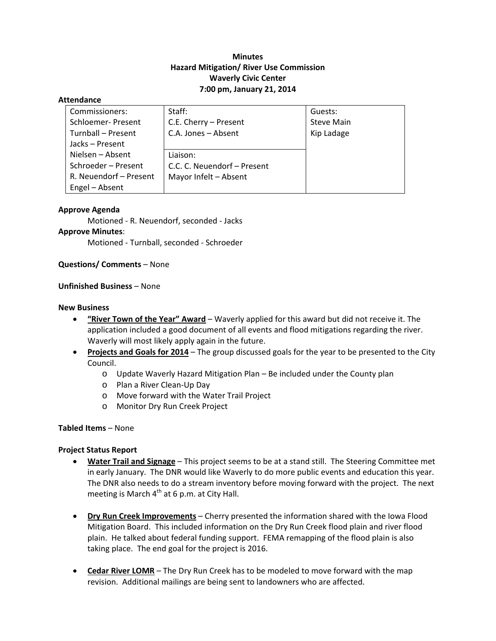# **Minutes Hazard Mitigation/ River Use Commission Waverly Civic Center 7:00 pm, January 21, 2014**

#### **Attendance**

| Commissioners:         | Staff:                      | Guests:           |
|------------------------|-----------------------------|-------------------|
| Schloemer- Present     | C.E. Cherry - Present       | <b>Steve Main</b> |
| Turnball - Present     | C.A. Jones - Absent         | Kip Ladage        |
| Jacks-Present          |                             |                   |
| Nielsen – Absent       | Liaison:                    |                   |
| Schroeder - Present    | C.C. C. Neuendorf - Present |                   |
| R. Neuendorf - Present | Mayor Infelt - Absent       |                   |
| Engel - Absent         |                             |                   |

#### **Approve Agenda**

Motioned ‐ R. Neuendorf, seconded ‐ Jacks **Approve Minutes**: Motioned ‐ Turnball, seconded ‐ Schroeder

**Questions/ Comments** – None

### **Unfinished Business** – None

#### **New Business**

- **"River Town of the Year" Award** Waverly applied for this award but did not receive it. The application included a good document of all events and flood mitigations regarding the river. Waverly will most likely apply again in the future.
- **Projects and Goals for 2014** The group discussed goals for the year to be presented to the City Council.
	- o Update Waverly Hazard Mitigation Plan Be included under the County plan
	- o Plan a River Clean‐Up Day
	- o Move forward with the Water Trail Project
	- o Monitor Dry Run Creek Project

#### **Tabled Items** – None

## **Project Status Report**

- **Water Trail and Signage** This project seems to be at a stand still. The Steering Committee met in early January. The DNR would like Waverly to do more public events and education this year. The DNR also needs to do a stream inventory before moving forward with the project. The next meeting is March  $4<sup>th</sup>$  at 6 p.m. at City Hall.
- **Dry Run Creek Improvements** Cherry presented the information shared with the Iowa Flood Mitigation Board. This included information on the Dry Run Creek flood plain and river flood plain. He talked about federal funding support. FEMA remapping of the flood plain is also taking place. The end goal for the project is 2016.
- **Cedar River LOMR** The Dry Run Creek has to be modeled to move forward with the map revision. Additional mailings are being sent to landowners who are affected.